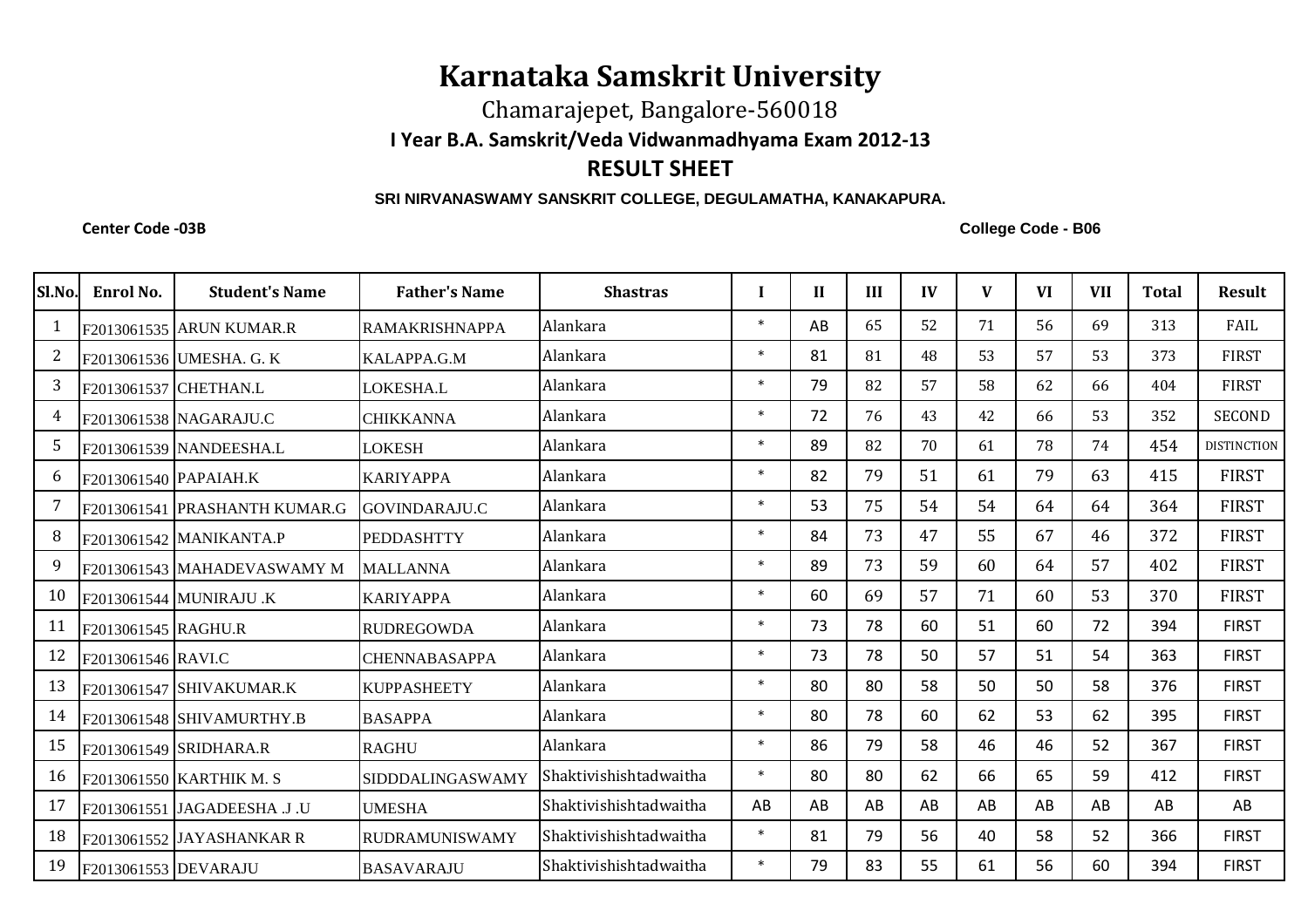## **Karnataka Samskrit University**

Chamarajepet, Bangalore-560018

## **I Year B.A. Samskrit/Veda Vidwanmadhyama Exam 2012-13**

## **RESULT SHEET**

## **SRI NIRVANASWAMY SANSKRIT COLLEGE, DEGULAMATHA, KANAKAPURA.**

**Center Code -03B**

**College Code - B06**

| Sl.No.         | Enrol No.             | <b>Student's Name</b>         | <b>Father's Name</b>  | <b>Shastras</b>        |        | $\mathbf{I}$ | III | IV | V  | <b>VI</b> | <b>VII</b> | <b>Total</b> | <b>Result</b>      |
|----------------|-----------------------|-------------------------------|-----------------------|------------------------|--------|--------------|-----|----|----|-----------|------------|--------------|--------------------|
|                |                       | F2013061535 ARUN KUMAR.R      | <b>RAMAKRISHNAPPA</b> | Alankara               | $\ast$ | AB           | 65  | 52 | 71 | 56        | 69         | 313          | <b>FAIL</b>        |
| $\overline{2}$ |                       | F2013061536 UMESHA. G. K      | KALAPPA.G.M           | Alankara               | $\ast$ | 81           | 81  | 48 | 53 | 57        | 53         | 373          | <b>FIRST</b>       |
| 3              | F2013061537 CHETHAN.L |                               | LOKESHA.L             | Alankara               | $\ast$ | 79           | 82  | 57 | 58 | 62        | 66         | 404          | <b>FIRST</b>       |
| 4              |                       | F2013061538 NAGARAJU.C        | <b>CHIKKANNA</b>      | Alankara               | $\ast$ | 72           | 76  | 43 | 42 | 66        | 53         | 352          | <b>SECOND</b>      |
| 5              |                       | F2013061539 NANDEESHA.L       | <b>LOKESH</b>         | Alankara               | $\ast$ | 89           | 82  | 70 | 61 | 78        | 74         | 454          | <b>DISTINCTION</b> |
| 6              | F2013061540 PAPAIAH.K |                               | <b>KARIYAPPA</b>      | Alankara               | $\ast$ | 82           | 79  | 51 | 61 | 79        | 63         | 415          | <b>FIRST</b>       |
| 7              |                       | F2013061541 PRASHANTH KUMAR.G | GOVINDARAJU.C         | Alankara               | $\ast$ | 53           | 75  | 54 | 54 | 64        | 64         | 364          | <b>FIRST</b>       |
| 8              |                       | F2013061542 MANIKANTA.P       | <b>PEDDASHTTY</b>     | Alankara               | $\ast$ | 84           | 73  | 47 | 55 | 67        | 46         | 372          | <b>FIRST</b>       |
| 9              |                       | F2013061543 MAHADEVASWAMY M   | <b>MALLANNA</b>       | Alankara               | $\ast$ | 89           | 73  | 59 | 60 | 64        | 57         | 402          | <b>FIRST</b>       |
| 10             |                       | F2013061544 MUNIRAJU .K       | <b>KARIYAPPA</b>      | Alankara               | $\ast$ | 60           | 69  | 57 | 71 | 60        | 53         | 370          | <b>FIRST</b>       |
| 11             | F2013061545 RAGHU.R   |                               | <b>RUDREGOWDA</b>     | Alankara               | $\ast$ | 73           | 78  | 60 | 51 | 60        | 72         | 394          | <b>FIRST</b>       |
| 12             | F2013061546 RAVI.C    |                               | <b>CHENNABASAPPA</b>  | Alankara               | $\ast$ | 73           | 78  | 50 | 57 | 51        | 54         | 363          | <b>FIRST</b>       |
| 13             |                       | F2013061547 SHIVAKUMAR.K      | <b>KUPPASHEETY</b>    | Alankara               | $\ast$ | 80           | 80  | 58 | 50 | 50        | 58         | 376          | <b>FIRST</b>       |
| 14             |                       | F2013061548 SHIVAMURTHY.B     | <b>BASAPPA</b>        | Alankara               | $\ast$ | 80           | 78  | 60 | 62 | 53        | 62         | 395          | <b>FIRST</b>       |
| 15             |                       | F2013061549 SRIDHARA.R        | <b>RAGHU</b>          | Alankara               | $\ast$ | 86           | 79  | 58 | 46 | 46        | 52         | 367          | <b>FIRST</b>       |
| 16             |                       | F2013061550 KARTHIK M. S      | SIDDDALINGASWAMY      | Shaktivishishtadwaitha | $\ast$ | 80           | 80  | 62 | 66 | 65        | 59         | 412          | <b>FIRST</b>       |
| 17             |                       | F2013061551 JAGADEESHA .J .U  | <b>UMESHA</b>         | Shaktivishishtadwaitha | AB     | AB           | AB  | AB | AB | AB        | AB         | AB           | AB                 |
| 18             |                       | F2013061552 JAYASHANKAR R     | <b>RUDRAMUNISWAMY</b> | Shaktivishishtadwaitha | $\ast$ | 81           | 79  | 56 | 40 | 58        | 52         | 366          | <b>FIRST</b>       |
| 19             | F2013061553 DEVARAJU  |                               | <b>BASAVARAJU</b>     | Shaktivishishtadwaitha | $\ast$ | 79           | 83  | 55 | 61 | 56        | 60         | 394          | <b>FIRST</b>       |